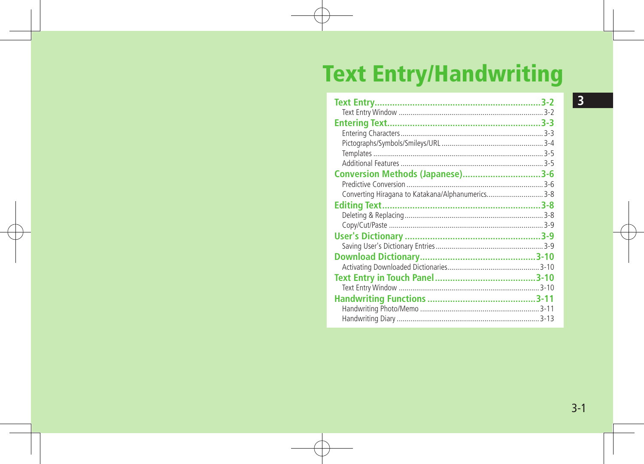# **Text Entry/Handwriting**

| Conversion Methods (Japanese)3-6                  |
|---------------------------------------------------|
|                                                   |
| Converting Hiragana to Katakana/Alphanumerics 3-8 |
|                                                   |
|                                                   |
|                                                   |
|                                                   |
|                                                   |
|                                                   |
|                                                   |
|                                                   |
|                                                   |
|                                                   |
|                                                   |
|                                                   |

 $\overline{3}$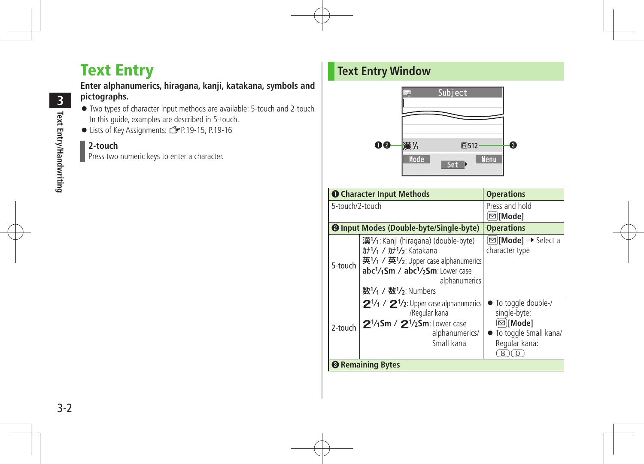# Text Entry

#### **Enter alphanumerics, hiragana, kanji, katakana, symbols and pictographs.**

- Two types of character input methods are available: 5-touch and 2-touch In this guide, examples are described in 5-touch.
- Lists of Key Assignments: ZP.19-15, P.19-16

#### **2-touch**

Press two numeric keys to enter a character.

# **Text Entry Window**



|                 | <b>O</b> Character Input Methods                                                                                                                                                                                                         | <b>Operations</b>                                                                            |
|-----------------|------------------------------------------------------------------------------------------------------------------------------------------------------------------------------------------------------------------------------------------|----------------------------------------------------------------------------------------------|
| 5-touch/2-touch |                                                                                                                                                                                                                                          | Press and hold<br>[⊠][Mode]                                                                  |
|                 | <b>@</b> Input Modes (Double-byte/Single-byte)                                                                                                                                                                                           | <b>Operations</b>                                                                            |
| 5-touch         | 漢1/1: Kanji (hiragana) (double-byte)<br>カナ1/1 / カナ1/3: Katakana<br>英1/1 / 英1/2: Upper case alphanumerics<br>abc <sup>1</sup> / <sub>1</sub> Sm / abc <sup>1</sup> / <sub>2</sub> Sm: Lower case<br>alphanumerics<br>数1/1 / 数1/2: Numbers | ⊠) <b>[Mode] →</b> Select a<br>character type                                                |
| 2-touch         | $2\frac{1}{1}$ / $2\frac{1}{2}$ : Upper case alphanumerics<br>/Regular kana<br>$2\frac{1}{15}$ m / $2\frac{1}{25}$ m: Lower case<br>alphanumerics/<br>Small kana                                                                         | To toggle double-/<br>single-byte:<br>⊠ Mode]<br>To toggle Small kana/<br>Regular kana:<br>8 |
|                 | <b><sup>6</sup></b> Remaining Bytes                                                                                                                                                                                                      |                                                                                              |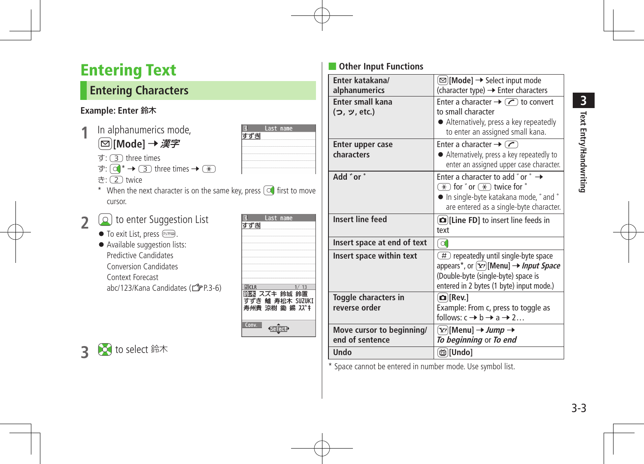# <span id="page-2-0"></span>Entering Text

# **Entering Characters**

#### **Example: Enter** 鈴木

- **1** In alphanumerics mode, A**[Mode]** 7 漢字
	- $\overline{g}$ :  $\overline{3}$  three times
	- $\overline{\sigma}$ :  $\overline{(\alpha)}^* \rightarrow \overline{(\alpha)}$  three times  $\rightarrow \overline{(\alpha)}$
	- き: (2) twice
	- \* When the next character is on the same key, press  $\boxed{\circledcirc}$  first to move cursor.
- **2 a** to enter Suggestion List
	- $\bullet$  To exit List, press  $\boxed{\text{even}}$ .
	- Available suggestion lists: Predictive Candidates Conversion Candidates Context Forecast abc/123/Kana Candidates (ZP.3-6)

| すずき          | Last name                                          |      |
|--------------|----------------------------------------------------|------|
| <b>FACLR</b> | 鈴木 スズキ 鈴城 鈴置<br>すずき 鱸 寿松木 SUZUKI<br>寿州貴 涼樹 鋤 錫 スズキ | 1/13 |
| Conv.        | Select?                                            |      |

last name

すずき

## **Other Input Functions**

| Enter katakana/             | ⊠)[Mode] → Select input mode                                                                                                                                                                                                                   |
|-----------------------------|------------------------------------------------------------------------------------------------------------------------------------------------------------------------------------------------------------------------------------------------|
| alphanumerics               | (character type) → Enter characters                                                                                                                                                                                                            |
| <b>Enter small kana</b>     | Enter a character $\rightarrow$ $\curvearrowright$ to convert                                                                                                                                                                                  |
| (つ, ッ, etc.)                | to small character                                                                                                                                                                                                                             |
|                             | • Alternatively, press a key repeatedly<br>to enter an assigned small kana.                                                                                                                                                                    |
| Enter upper case            | Enter a character $\rightarrow$ $\sim$                                                                                                                                                                                                         |
| characters                  | • Alternatively, press a key repeatedly to<br>enter an assigned upper case character.                                                                                                                                                          |
| Add "or"                    | Enter a character to add "or $\degree \rightarrow$<br>$\overline{\star}$ for $\check{\phantom{a}}$ or $\overline{\star}$ twice for $\check{\phantom{a}}$<br>• In single-byte katakana mode, " and "<br>are entered as a single-byte character. |
| <b>Insert line feed</b>     | [D][Line FD] to insert line feeds in<br>text                                                                                                                                                                                                   |
|                             |                                                                                                                                                                                                                                                |
| Insert space at end of text | o.                                                                                                                                                                                                                                             |
| Insert space within text    | (#) repeatedly until single-byte space<br>appears*, or $[\mathbf{x}_r]$ [Menu] $\rightarrow$ <i>Input Space</i><br>(Double-byte (single-byte) space is<br>entered in 2 bytes (1 byte) input mode.)                                             |
| Toggle characters in        | $\Omega$ [Rev.]                                                                                                                                                                                                                                |
| reverse order               | Example: From c, press to toggle as<br>follows: $c \rightarrow b \rightarrow a \rightarrow 2$                                                                                                                                                  |
| Move cursor to beginning/   | [Y'][Menu] → Jump →                                                                                                                                                                                                                            |
| end of sentence             | To beginning or To end                                                                                                                                                                                                                         |

\* Space cannot be entered in number mode. Use symbol list.

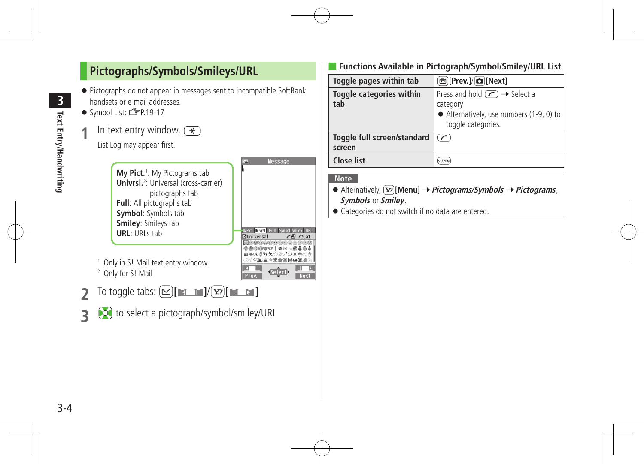<span id="page-3-0"></span>

#### ■ **Functions Available in Pictograph/Symbol/Smiley/URL List**

| Toggle pages within tab               | @ [Prev.]/( <b>ධ</b> ][Next]                                                                                                                        |
|---------------------------------------|-----------------------------------------------------------------------------------------------------------------------------------------------------|
| Toggle categories within<br>tab       | Press and hold $\left(\sqrt{\phantom{a}}\right) \rightarrow$ Select a<br>category<br>• Alternatively, use numbers (1-9, 0) to<br>toggle categories. |
| Toggle full screen/standard<br>screen | $\sqrt{}$                                                                                                                                           |
| <b>Close list</b>                     |                                                                                                                                                     |

#### **Note**

- $\bullet$  Alternatively,  $\boxed{\mathbf{x}}$  [Menu]  $\rightarrow$  *Pictograms/Symbols*  $\rightarrow$  *Pictograms*, **Symbols** or **Smiley**.
- Categories do not switch if no data are entered.

3-4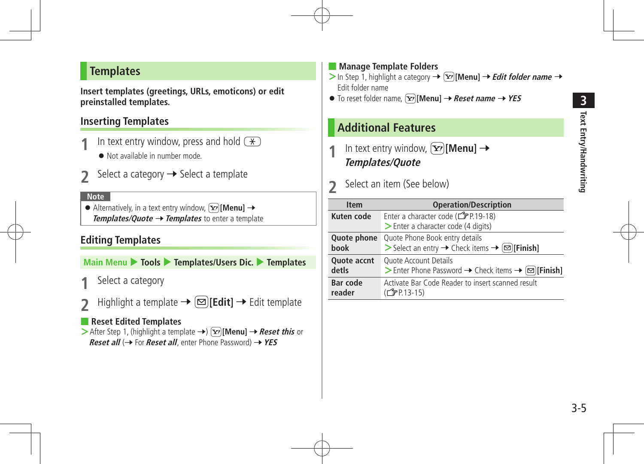#### <span id="page-4-0"></span>**Templates**

**Insert templates (greetings, URLs, emoticons) or edit preinstalled templates.**

#### **Inserting Templates**

- **10 10 1 1 In text entry window, press and hold**  $\left(\frac{X}{X}\right)$  **<br>• Not available in number mode.** 
	-
- Select a category  $\rightarrow$  Select a template

#### **Note**

 $\bullet$  Alternatively, in a text entry window,  $\boxed{\mathbf{x}}$  [Menu]  $\rightarrow$ **Templates/Quote → Templates** to enter a template

#### **Editing Templates**

**Main Menu** 4 **Tools** 4 **Templates/Users Dic.** 4 **Templates**

- Select a category
- $Highlight a template \rightarrow \text{[} \text{[} \text{Edit} \text{]} \rightarrow \text{Edit template}$

#### ■ **Reset Edited Templates**

**>** After Step 1, (highlight a template →)  $\boxed{\mathbf{x}}$  [Menu] → Reset this or **Reset all** (→ For **Reset all**, enter Phone Password) → YES

#### ■ **Manage Template Folders**

- $>$  In Step 1, highlight a category  $\rightarrow \infty$  [Menu]  $\rightarrow$  *Edit folder name*  $\rightarrow$ Edit folder name
- $\bullet$  To reset folder name, **\FYIMenu] →** *Reset name* **→** *YES*

## **Additional Features**

- In text entry window,  $\boxed{\mathbf{Y}}$  [Menu]  $\rightarrow$ **Templates/Quote**
- **2** Select an item (See below)

| <b>Item</b>               | <b>Operation/Description</b>                                                             |
|---------------------------|------------------------------------------------------------------------------------------|
| Kuten code                | Enter a character code ( $\mathbb{C}$ P.19-18)                                           |
|                           | > Enter a character code (4 digits)                                                      |
| Quote phone               | Quote Phone Book entry details                                                           |
| book                      | > Select an entry → Check items → $\boxed{\infty}$ [Finish]                              |
| Quote accnt               | <b>Ouote Account Details</b>                                                             |
| detls                     | > Enter Phone Password $\rightarrow$ Check items $\rightarrow \text{[}\,\text{[}$ Finish |
| <b>Bar code</b><br>reader | Activate Bar Code Reader to insert scanned result<br>(C <sub>3</sub> P.13-15)            |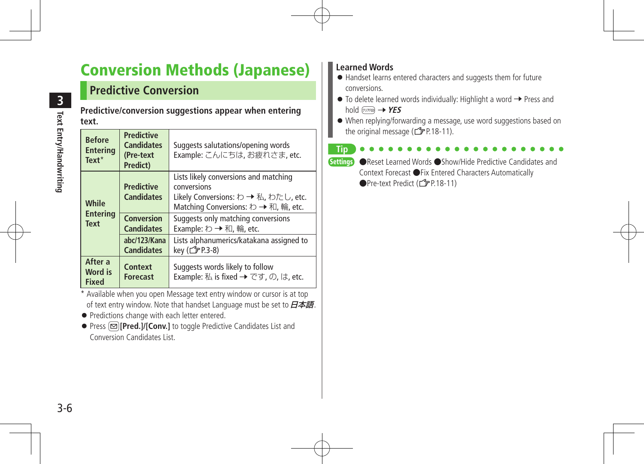# <span id="page-5-0"></span>Conversion Methods (Japanese)

# **Predictive Conversion**

**Predictive/conversion suggestions appear when entering text.**

| <b>Before</b><br><b>Entering</b><br>$Text*$ | <b>Predictive</b><br><b>Candidates</b><br>(Pre-text<br>Predict) | Suggests salutations/opening words<br>Example: こんにちは、お疲れさま, etc.                                                                     |
|---------------------------------------------|-----------------------------------------------------------------|--------------------------------------------------------------------------------------------------------------------------------------|
| While                                       | <b>Predictive</b><br><b>Candidates</b>                          | Lists likely conversions and matching<br>conversions<br>Likely Conversions: わ → 私, わたし, etc.<br>Matching Conversions: わ → 和, 輪, etc. |
| <b>Entering</b><br><b>Text</b>              | <b>Conversion</b><br><b>Candidates</b>                          | Suggests only matching conversions<br>Example: わ → 和, 輪, etc.                                                                        |
|                                             | abc/123/Kana<br><b>Candidates</b>                               | Lists alphanumerics/katakana assigned to<br>key ( 子 P.3-8)                                                                           |
| After a<br>Word is<br><b>Fixed</b>          | Context<br><b>Forecast</b>                                      | Suggests words likely to follow<br>Example: 私 is fixed → です, の, は, etc.                                                              |

\* Available when you open Message text entry window or cursor is at top of text entry window. Note that handset Language must be set to  $\cancel{B\#B}$ .

- **•** Predictions change with each letter entered.
- Press **2**[Pred.]/[Conv.] to toggle Predictive Candidates List and Conversion Candidates List.

#### **Learned Words**

- Handset learns entered characters and suggests them for future conversions.
- $\bullet$  To delete learned words individually: Highlight a word  $\rightarrow$  Press and hold <sub>*<i><sup>oure***</sup> →** *YES*</sub>
- When replying/forwarding a message, use word suggestions based on the original message  $(\mathcal{F}P.18-11)$ .

#### **Tip**

Settings ●Reset Learned Words ●Show/Hide Predictive Candidates and Context Forecast ●Fix Entered Characters Automatically ●Pre-text Predict (<del>△</del>P.18-11)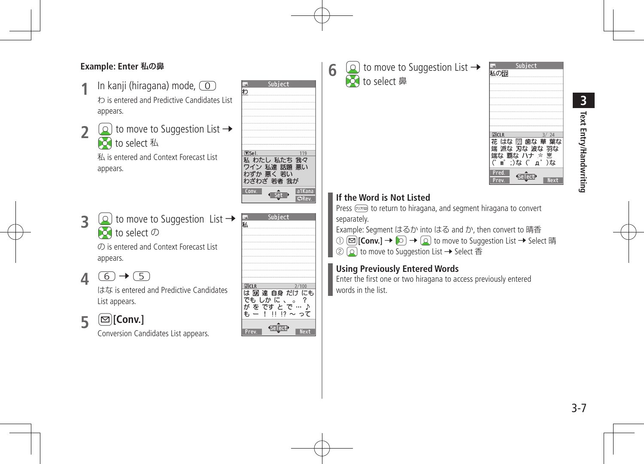#### **Example: Enter** 私の鼻

- In kanji (hiragana) mode,  $\circled{0}$ わ is entered and Predictive Candidates List appears.
- **2**  $\boxed{2}$  to move to Suggestion List  $\rightarrow$ **Z**o to select 私 私 is entered and Context Forecast List appears.
- **3**  $\left( \circ \right)$  to move to Suggestion List  $\rightarrow$  $\Omega$  to select  $\Omega$

の is entered and Context Forecast List appears.

 $4$   $6$   $\rightarrow$   $5$ 

はな is entered and Predictive Candidates List appears.

# **5** 图**[Conv.]**

Conversion Candidates List appears.



 $2/100$ 

 $\gamma$ 

**Next** 

は 2 達 自身 だけ にも でもしかに、。

がをですとで…♪  $\ddot{t} - 1$   $\sin 7\theta \sim 27$ 

**同CLF** 

Prev.



**6**  $\Omega$  to move to Suggestion List  $\rightarrow$ 

Subject 私の記 **同CLR**  $3/24$ 花 はな 園 歯な 華 葉な 端 派な 刃な 波な 羽な 端な 覇な ハナ \* !  $($  в  $)$  $\alpha$   $($  д  $)$  $\alpha$ Pred Select? Prev **Next** 

## **If the Word is Not Listed**

Press ( $\overline{y}$ ) to return to hiragana, and segment hiragana to convert separately.

Example: Segment はるか into はる and か, then convert to 晴香 ①  $\textcircled{r}$  **[Conv.]** →  $\textcircled{r}$  →  $\textcircled{r}$  to move to Suggestion List → Select 晴 ②  $\Omega$  to move to Suggestion List → Select 香

## **Using Previously Entered Words**

Enter the first one or two hiragana to access previously entered words in the list.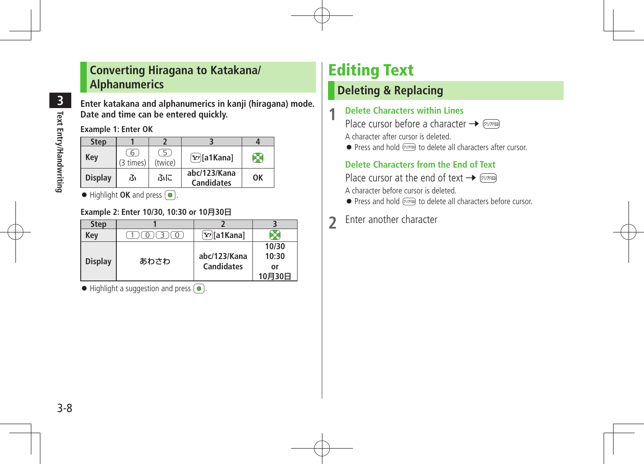## <span id="page-7-0"></span>**Converting Hiragana to Katakana/ Alphanumerics**

**3 Text Entry/Handwriting Text Entry/Handwriting**

**Enter katakana and alphanumerics in kanji (hiragana) mode. Date and time can be entered quickly.**

**Example 1: Enter OK**

| <b>Step</b>    |                |              |                                   |    |
|----------------|----------------|--------------|-----------------------------------|----|
| Kev            | 6<br>(3 times) | 5<br>(twice) | $\boxed{\mathbf{Y}}$ a1Kana]      | Ю  |
| <b>Display</b> | ふ              | ふに           | abc/123/Kana<br><b>Candidates</b> | OK |

 $\bullet$  Highlight **OK** and press  $\circ$ .

#### **Example 2: Enter 10/30, 10:30 or 10**月**30**日

| <b>Step</b>    |      |                               |        |
|----------------|------|-------------------------------|--------|
| Key            |      | $\boxed{\mathbf{x}}$ /a1Kana] |        |
|                |      |                               | 10/30  |
|                | あわさわ | abc/123/Kana                  | 10:30  |
| <b>Display</b> |      | <b>Candidates</b>             | or     |
|                |      |                               | 10月30日 |

 $\bullet$  Highlight a suggestion and press  $\circ$ .

# Editing Text

# **Deleting & Replacing**

#### **1 Delete Characters within Lines**

Place cursor before a character  $\rightarrow \sqrt{p\mu p}$ A character after cursor is deleted.

 $\bullet$  Press and hold  $\varphi$  to delete all characters after cursor.

#### **Delete Characters from the End of Text**

Place cursor at the end of text  $\rightarrow \sqrt{N/k}$ 

A character before cursor is deleted.

- $\bullet$  Press and hold  $\overline{\text{pump}}$  to delete all characters before cursor.
- **2** Enter another character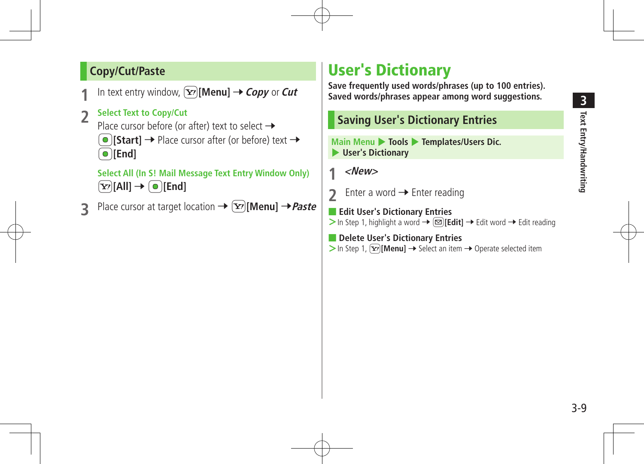# **3 Text Entry/Handwriting Text Entry/Handwriting**

## <span id="page-8-0"></span>**Copy/Cut/Paste**

- In text entry window,  $\boxed{\mathbf{Y}}$  [Menu]  $\rightarrow$  *Copy* or *Cut*
- **2 Select Text to Copy/Cut**
	- Place cursor before (or after) text to select  $\rightarrow$  $\bigcirc$  [Start]  $\rightarrow$  Place cursor after (or before) text  $\rightarrow$ \*z**[End]**

**Select All (In S! Mail Message Text Entry Window Only)**  $\boxed{\mathbf{Y}}$  [All]  $\rightarrow \boxed{\bullet}$  [End]

**3** Place cursor at target location →  $\boxed{\mathbf{x}}$ [Menu] → Paste

# User's Dictionary

**Save frequently used words/phrases (up to 100 entries). Saved words/phrases appear among word suggestions.**

## **Saving User's Dictionary Entries**

**Main Menu** 4 **Tools** 4 **Templates/Users Dic.**  4 **User's Dictionary**

**1 <New>**

**2** Enter a word  $\rightarrow$  Enter reading

■ **Edit User's Dictionary Entries >** In Step 1, highlight a word →  $\textcircled{=}$  **[Edit]** → Edit word → Edit reading

■ **Delete User's Dictionary Entries**  $>$  In Step 1,  $\boxed{\mathbf{x}}$  **[Menu]**  $\rightarrow$  Select an item  $\rightarrow$  Operate selected item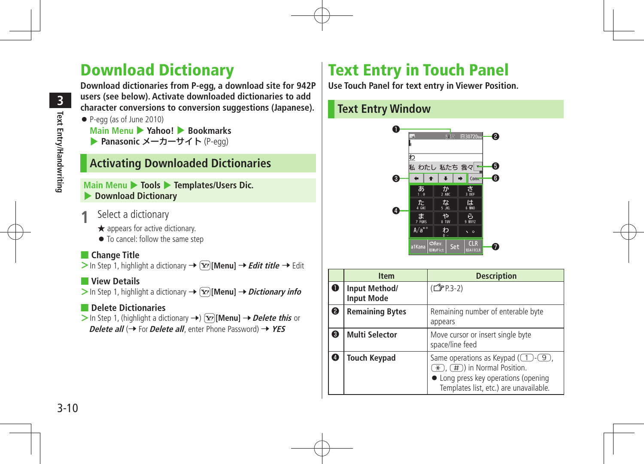# <span id="page-9-0"></span>Download Dictionary

**Download dictionaries from P-egg, a download site for 942P users (see below). Activate downloaded dictionaries to add character conversions to conversion suggestions (Japanese).**

- P-egg (as of June 2010)
	- **Main Menu** 4 **Yahoo!** 4 **Bookmarks ▶ Panasonic メーカーサイト** (P-egg)

# **Activating Downloaded Dictionaries**

#### **Main Menu ▶ Tools ▶ Templates/Users Dic.** 4 **Download Dictionary**

- Select a dictionary
	- ★ appears for active dictionary.
	- $\bullet$  To cancel: follow the same step

#### ■ **Change Title**

 $>$  In Step 1, highlight a dictionary  $\rightarrow$   $\boxed{\mathbf{x}}$  **[Menu]**  $\rightarrow$  *Edit title*  $\rightarrow$  Edit

#### ■ **View Details**

 $>$  In Step 1, highlight a dictionary  $\rightarrow \boxed{\mathbf{x}}$  [Menu]  $\rightarrow$  *Dictionary info* 

#### ■ **Delete Dictionaries**

 $>$  In Step 1, (highlight a dictionary  $\rightarrow$ )  $\boxed{\mathbf{x}}$  [Menu]  $\rightarrow$  *Delete this* or **Delete all** (→ For **Delete all**, enter Phone Password) → YES

# Text Entry in Touch Panel

**Use Touch Panel for text entry in Viewer Position.**

# **Text Entry Window**



|             | <b>Item</b>                        | <b>Description</b>                                                                                                                                                          |
|-------------|------------------------------------|-----------------------------------------------------------------------------------------------------------------------------------------------------------------------------|
| $\mathbf 0$ | Input Method/<br><b>Input Mode</b> | (子P.3-2)                                                                                                                                                                    |
| ℯ           | <b>Remaining Bytes</b>             | Remaining number of enterable byte<br>appears                                                                                                                               |
| ❸           | <b>Multi Selector</b>              | Move cursor or insert single byte<br>space/line feed                                                                                                                        |
| $\bf o$     | <b>Touch Keypad</b>                | Same operations as Keypad $(\fbox{1}-\gbox{9})$ ,<br>$\mathcal{F}(H)$ in Normal Position.<br>• Long press key operations (opening<br>Templates list, etc.) are unavailable. |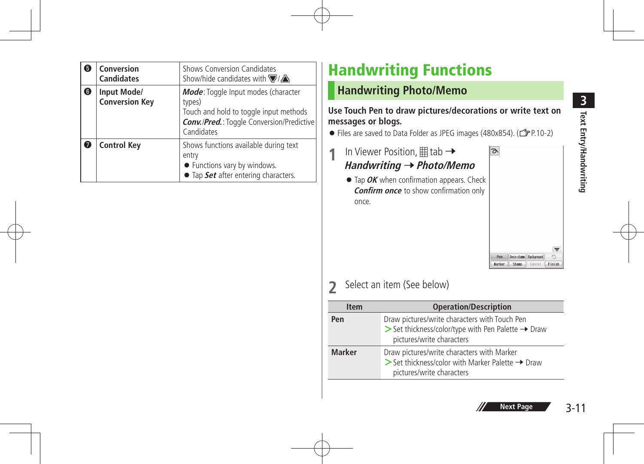<span id="page-10-0"></span>

| 5 | Conversion<br><b>Candidates</b>      | Shows Conversion Candidates<br>Show/hide candidates with $\nabla/\Delta$                                                                                  |
|---|--------------------------------------|-----------------------------------------------------------------------------------------------------------------------------------------------------------|
| 0 | Input Mode/<br><b>Conversion Key</b> | Mode: Toggle Input modes (character<br>types)<br>Touch and hold to toggle input methods<br><b>Conv./Pred.:</b> Toggle Conversion/Predictive<br>Candidates |
| 7 | <b>Control Key</b>                   | Shows functions available during text<br>entry<br>• Functions vary by windows.<br>• Tap Set after entering characters.                                    |

# Handwriting Functions

# **Handwriting Photo/Memo**

**Use Touch Pen to draw pictures/decorations or write text on messages or blogs.**

● Files are saved to Data Folder as JPEG images (480x854). (13P.10-2)

- **1** In Viewer Position,  $\boxplus$  tab  $\rightarrow$ **Handwriting** 7**Photo/Memo**
	- **•** Tap **OK** when confirmation appears. Check **Confirm once** to show confirmation only once.

| Pen | Deco-stamp Background |  |
|-----|-----------------------|--|

 $\overline{\sigma}$ 

# **2** Select an item (See below)

| <b>Item</b>   | <b>Operation/Description</b>                                                                                                                                |
|---------------|-------------------------------------------------------------------------------------------------------------------------------------------------------------|
| Pen           | Draw pictures/write characters with Touch Pen<br>$\triangleright$ Set thickness/color/type with Pen Palette $\rightarrow$ Draw<br>pictures/write characters |
| <b>Marker</b> | Draw pictures/write characters with Marker<br>$\triangleright$ Set thickness/color with Marker Palette $\rightarrow$ Draw<br>pictures/write characters      |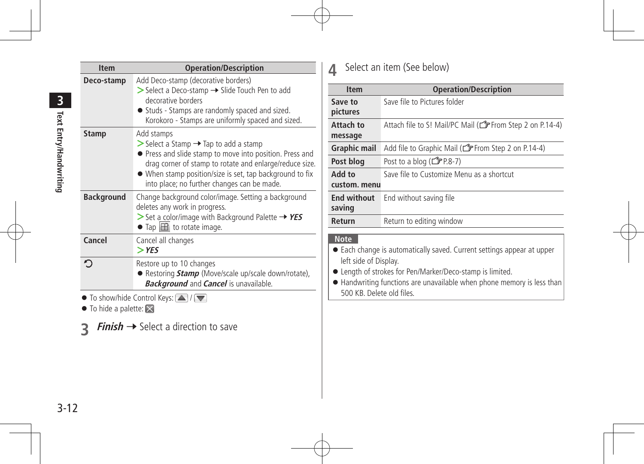| <b>Item</b>                                                          | <b>Operation/Description</b>                                                                                                                                                                                                                                                                                     |
|----------------------------------------------------------------------|------------------------------------------------------------------------------------------------------------------------------------------------------------------------------------------------------------------------------------------------------------------------------------------------------------------|
| Deco-stamp                                                           | Add Deco-stamp (decorative borders)<br>> Select a Deco-stamp → Slide Touch Pen to add<br>decorative borders<br>• Studs - Stamps are randomly spaced and sized.<br>Korokoro - Stamps are uniformly spaced and sized.                                                                                              |
| <b>Stamp</b>                                                         | Add stamps<br>$\triangleright$ Select a Stamp $\rightarrow$ Tap to add a stamp<br>• Press and slide stamp to move into position. Press and<br>drag corner of stamp to rotate and enlarge/reduce size.<br>• When stamp position/size is set, tap background to fix<br>into place; no further changes can be made. |
| <b>Background</b>                                                    | Change background color/image. Setting a background<br>deletes any work in progress.<br>$\triangleright$ Set a color/image with Background Palette $\rightarrow$ YES<br>$\bullet$ Tap $\boxplus$ to rotate image.                                                                                                |
| Cancel                                                               | Cancel all changes<br>$>$ YES                                                                                                                                                                                                                                                                                    |
| ᠫ                                                                    | Restore up to 10 changes<br>● Restoring <i>Stamp</i> (Move/scale up/scale down/rotate),<br><b>Background</b> and <b>Cancel</b> is unavailable.                                                                                                                                                                   |
| $\bullet$ To show/hide Control Keys: $\Delta$ / $\blacktriangledown$ |                                                                                                                                                                                                                                                                                                                  |

- $\bullet$  To hide a palette:  $\times$
- **3 Finish** → Select a direction to save

**4** Select an item (See below)

| <b>Item</b>           | <b>Operation/Description</b>                                           |
|-----------------------|------------------------------------------------------------------------|
| Save to               | Save file to Pictures folder                                           |
| pictures              |                                                                        |
| Attach to             | Attach file to S! Mail/PC Mail (CFFrom Step 2 on P.14-4)               |
| message               |                                                                        |
| <b>Graphic mail</b>   | Add file to Graphic Mail (From Step 2 on P.14-4)                       |
| Post blog             | Post to a blog ( $F$ P.8-7)                                            |
| ot bbA                | Save file to Customize Menu as a shortcut                              |
| custom, menu          |                                                                        |
| <b>End without</b>    | End without saving file                                                |
| saving                |                                                                        |
| Return                | Return to editing window                                               |
| <b>Note</b>           |                                                                        |
|                       |                                                                        |
|                       | • Each change is automatically saved. Current settings appear at upper |
| left side of Display. |                                                                        |

- $\bullet$  Length of strokes for Pen/Marker/Deco-stamp is limited.
- $\bullet$  Handwriting functions are unavailable when phone memory is less than 500 KB. Delete old files.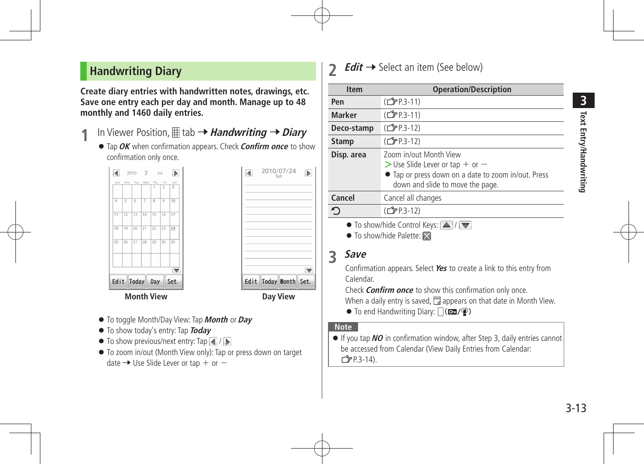## <span id="page-12-0"></span> **Handwriting Diary**

**Create diary entries with handwritten notes, drawings, etc. Save one entry each per day and month. Manage up to 48 monthly and 1460 daily entries.**

- In Viewer Position,  $\mathbb{H}$  tab  $\rightarrow$  *Handwriting*  $\rightarrow$  *Diary* 
	- **•** Tap OK when confirmation appears. Check **Confirm once** to show confirmation only once.





- $\bullet$  To toggle Month/Day View: Tap **Month** or **Day**
- $\bullet$  To show today's entry: Tap **Today**
- $\bullet$  To show previous/next entry: Tap  $\Box$  /  $\Box$
- To zoom in/out (Month View only): Tap or press down on target date  $\rightarrow$  Use Slide Lever or tap + or  $-$

## **2 Edit** → Select an item (See below)

| <b>Item</b>                                                          | <b>Operation/Description</b>                                                                                                                             |
|----------------------------------------------------------------------|----------------------------------------------------------------------------------------------------------------------------------------------------------|
| Pen                                                                  | (C <sub>J</sub> P.3-11)                                                                                                                                  |
| <b>Marker</b>                                                        | (C <sub>J</sub> P.3-11)                                                                                                                                  |
| Deco-stamp                                                           | ( <del>f</del> P.3-12)                                                                                                                                   |
| <b>Stamp</b>                                                         | (CJPP.3-12)                                                                                                                                              |
| Disp. area                                                           | Zoom in/out Month View<br>$>$ Use Slide Lever or tap + or $-$<br>• Tap or press down on a date to zoom in/out. Press<br>down and slide to move the page. |
| Cancel                                                               | Cancel all changes                                                                                                                                       |
| ᠫ                                                                    | ( <del>f</del> P.3-12)                                                                                                                                   |
| $\bullet$ To show/hide Control Keys: $\Delta$ / $\blacktriangledown$ |                                                                                                                                                          |

 $\bullet$  To show/hide Palette:  $\times$ 

# **3 Save**

Confirmation appears. Select Yes to create a link to this entry from Calendar.

Check **Confirm once** to show this confirmation only once. When a daily entry is saved,  $\overline{a}$  appears on that date in Month View.

 $\bullet$  To end Handwriting Diary:  $\bigcap (\mathbf{G} \cup \{ \Psi \})$ 

#### **Note**

■ If you tap NO in confirmation window, after Step 3, daily entries cannot be accessed from Calendar (View Daily Entries from Calendar:  $\sqrt{2}$ P.3-14).